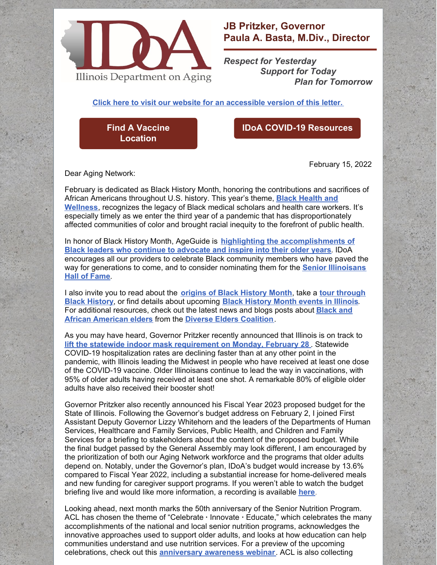

## **JB Pritzker, Governor Paula A. Basta, M.Div., Director**

*Respect for Yesterday Support for Today Plan for Tomorrow*

**Click here to visit our website for an [accessible](https://www2.illinois.gov/aging/AboutUs/Pages/Messages-from-the-Director.aspx) version of this letter.**

**Find A Vaccine [Location](https://coronavirus.illinois.gov/s/vaccination-location)**

## **IDoA COVID-19 [Resources](https://www2.illinois.gov/aging/Coronavirus/Vaccine/Pages/default.aspx)**

February 15, 2022

Dear Aging Network:

February is dedicated as Black History Month, honoring the contributions and sacrifices of African Americans [throughout](https://asalh.org/black-history-themes/) U.S. history. This year's theme, **Black Health and Wellness**, recognizes the legacy of Black medical scholars and health care workers. It's especially timely as we enter the third year of a pandemic that has disproportionately affected communities of color and brought racial inequity to the forefront of public health.

In honor of Black History Month, AgeGuide is **highlighting the [accomplishments](https://ageguide.org/black-history-month-a-time-for-reflection-and-action/) of Black leaders who continue to advocate and inspire into their older years**. IDoA encourages all our providers to celebrate Black community members who have paved the way for [generations](https://www2.illinois.gov/aging/HallofFame/Pages/default.aspx) to come, and to consider nominating them for the **Senior Illinoisans Hall of Fame**.

I also invite you to read about the **origins of Black [History](https://asalh.org/about-us/origins-of-black-history-month/) Month**, take a **tour through Black History**, or find details about [upcoming](https://www.enjoyillinois.com/illinois-road-trips/illinois-african-american-history-and-heritage/) **Black [History](https://www.enjoyillinois.com/celebrate-black-history-month-in-illinois/black-history-month-events-in-illinois/) Month events in Illinois**. For additional [resources,](https://www.diverseelders.org/tag/african-american-elders/) check out the latest news and blogs posts about **Black and African American elders** from the **Diverse Elders [Coalition](https://www.diverseelders.org/)**.

As you may have heard, Governor Pritzker recently announced that Illinois is on track to **lift the statewide indoor mask [requirement](https://www.illinois.gov/news/press-release.24498.html) on Monday, February 28** . Statewide COVID-19 hospitalization rates are declining faster than at any other point in the pandemic, with Illinois leading the Midwest in people who have received at least one dose of the COVID-19 vaccine. Older Illinoisans continue to lead the way in vaccinations, with 95% of older adults having received at least one shot. A remarkable 80% of eligible older adults have also received their booster shot!

Governor Pritzker also recently announced his Fiscal Year 2023 proposed budget for the State of Illinois. Following the Governor's budget address on February 2, I joined First Assistant Deputy Governor Lizzy Whitehorn and the leaders of the Departments of Human Services, Healthcare and Family Services, Public Health, and Children and Family Services for a briefing to stakeholders about the content of the proposed budget. While the final budget passed by the General Assembly may look different, I am encouraged by the prioritization of both our Aging Network workforce and the programs that older adults depend on. Notably, under the Governor's plan, IDoA's budget would increase by 13.6% compared to Fiscal Year 2022, including a substantial increase for home-delivered meals and new funding for caregiver support programs. If you weren't able to watch the budget briefing live and would like more information, a recording is available **[here](https://multimedia.illinois.gov/hhs/FY23-HHS-Budget-Briefing-020222.html)**.

Looking ahead, next month marks the 50th anniversary of the Senior Nutrition Program. ACL has chosen the theme of "Celebrate **·** Innovate **·** Educate," which celebrates the many accomplishments of the national and local senior nutrition programs, acknowledges the innovative approaches used to support older adults, and looks at how education can help communities understand and use nutrition services. For a preview of the upcoming celebrations, check out this **[anniversary](https://www.youtube.com/watch?v=5g3fJ4XDBsk) awareness webinar**. ACL is also collecting